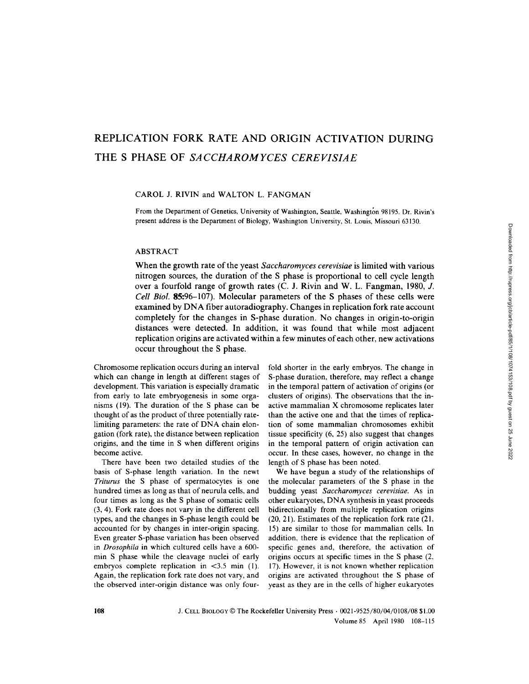# REPLICATION FORK RATE AND ORIGIN ACTIVATION DURING THE S PHASE OF SACCHAROMYCES CEREVISIAE

#### CAROL J. RIVIN and WALTON L. FANGMAN

From the Department of Genetics, University of Washington, Seattle, Washington 98195. Dr. Rivin's present address is the Department of Biology, Washington University, St. Louis, Missouri 63130 .

## ABSTRACT

When the growth rate of the yeast Saccharomyces cerevisiae is limited with various nitrogen sources, the duration of the S phase is proportional to cell cycle length over <sup>a</sup> fourfold range of growth rates (C. J. Rivin and W. L. Fangman, 1980, J. Cell Biol. 85:96-107) . Molecular parameters of the S phases of these cells were examined by DNA fiber autoradiography . Changes in replication fork rate account completely for the changes in S-phase duration . No changes in origin-to-origin distances were detected. In addition, it was found that while most adjacent replication origins are activated within a few minutes ofeach other, new activations occur throughout the S phase.

Chromosome replication occurs during an interval which can change in length at different stages of development. This variation is especially dramatic from early to late embryogenesis in some organisms (19) . The duration of the S phase can be thought of as the product of three potentially ratelimiting parameters: the rate of DNA chain elongation (fork rate), the distance between replication origins, and the time in S when different origins become active.

There have been two detailed studies of the basis of S-phase length variation . In the newt Triturus the S phase of spermatocytes is one hundred times as long as that of neurula cells, and four times as long as the S phase of somatic cells (3, 4) . Fork rate does not vary in the different cell types, and the changes in S-phase length could be accounted for by changes in inter-origin spacing. Even greater S-phase variation has been observed in Drosophila in which cultured cells have <sup>a</sup> 600 min S phase while the cleavage nuclei of early embryos complete replication in  $\lt$ 3.5 min (1). Again, the replication fork rate does not vary, and the observed inter-origin distance was only fourfold shorter in the early embryos. The change in S-phase duration, therefore, may reflect a change in the temporal pattern of activation of origins (or clusters of origins) . The observations that the inactive mammalian X chromosome replicates later than the active one and that the times of replication of some mammalian chromosomes exhibit tissue specificity (6, 25) also suggest that changes in the temporal pattern of origin activation can occur. In these cases, however, no change in the length of S phase has been noted.

We have begun a study of the relationships of the molecular parameters of the S phase in the budding yeast Saccharomyces cerevisiae. As in other eukaryotes, DNA synthesis in yeast proceeds bidirectionally from multiple replication origins (20, 21) . Estimates of the replication fork rate (21, 15) are similar to those for mammalian cells. In addition, there is evidence that the replication of specific genes and, therefore, the activation of origins occurs at specific times in the S phase (2, 17). However, it is not known whether replication origins are activated throughout the S phase of yeast as they are in the cells of higher eukaryotes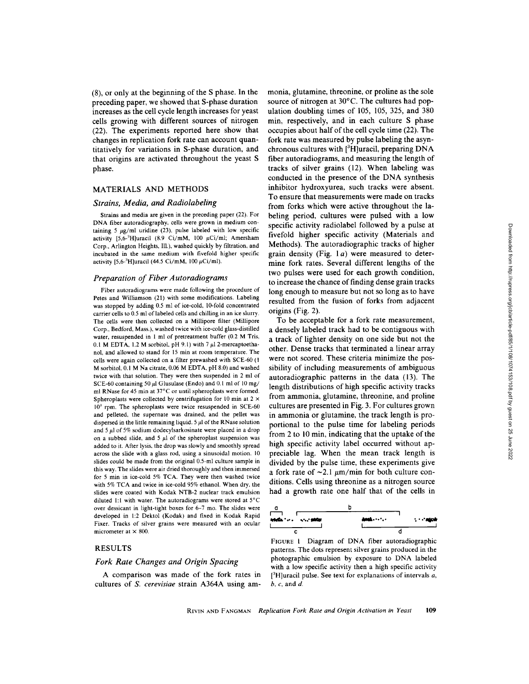(8), or only at the beginning of the S phase. In the preceding paper, we showed that S-phase duration increases as the cell cycle length increases for yeast cells growing with different sources of nitrogen (22) . The experiments reported here show that changes in replication fork rate can account quantitatively for variations in S-phase duration, and that origins are activated throughout the yeast S phase.

#### MATERIALS AND METHODS

#### Strains, Media, and Radiolabeling

Strains and media are given in the preceding paper (22) . For DNA fiber autoradiography, cells were grown in medium containing 5  $\mu$ g/ml uridine (23), pulse labeled with low specific activity [5,6- $^3$ H]uracil (8.9 Ci/mM, 100  $\mu$ Ci/ml; Amersham Corp., Arlington Heights, Ill.), washed quickly by filtration, and incubated in the same medium with fivefold higher specific activity  $[5,6^{-3}H]$ uracil (44.5 Ci/mM, 100  $\mu$ Ci/ml).

#### Preparation of Fiber Autoradiograms

Fiber autoradiograms were made following the procedure of Petes and Williamson (21) with some modifications . Labeling was stopped by adding 0.5 ml of ice-cold, 10-fold concentrated carrier cells to 0.5 ml of labeled cells and chilling in an ice slurry. The cells were then collected on a Millipore filter (Millipore Corp., Bedford, Mass.), washed twice with ice-cold glass-distilled water, resuspended in 1 ml of pretreatment buffer (0.2 M Tris, 0.1 M EDTA, 1.2 M sorbitol, pH 9.1) with 7  $\mu$ 1 2-mercaptoethanol, and allowed to stand for <sup>15</sup> min at room temperature. The cells were again collected on a filter prewashed with SCE-60 (1 Msorbitol, 0.1 M Na citrate, 0.06 MEDTA, pH <sup>8</sup> .0) and washed twice with that solution. They were then suspended in 2 ml of SCE-60 containing 50  $\mu$ l Glusulase (Endo) and 0.1 ml of 10 mg/ ml RNase for 45 min at 37°C or until spheroplasts were formed. Spheroplasts were collected by centrifugation for 10 min at  $2 \times$ <sup>10</sup>' rpm. The spheroplasts were twice resuspended in SCE-60 and pelleted, the supernate was drained, and the pellet was dispersed in the little remaining liquid. 5  $\mu$ l of the RNase solution and  $5 \mu$ l of 5% sodium dodecylsarkosinate were placed in a drop on a subbed slide, and  $5 \mu$ l of the spheroplast suspension was added to it After lysis, the drop was slowly and smoothly spread across the slide with a glass rod, using a sinusoidal motion. <sup>10</sup> slides could be made from the original 0.5-ml culture sample in this way. The slides were air dried thoroughly and then immersed for <sup>5</sup> min in ice-cold 5% TCA. They were then washed twice with 5% TCA and twice in ice-cold 95% ethanol. When dry, the slides were coated with Kodak NTB-2 nuclear track emulsion diluted 1:1 with water. The autoradiograms were stored at  $5^{\circ}$ C over dessicant in light-tight boxes for 6-7 mo. The slides were developed in 1:2 Dektol (Kodak) and fixed in Kodak Rapid Fixer. Tracks of silver grains were measured with an ocular micrometer at  $\times$  800.

#### RESULTS

### Fork Rate Changes and Origin Spacing

A comparison was made of the fork rates in cultures of S. cerevisiae strain A364A using ammonia, glutamine, threonine, or proline as the sole source of nitrogen at 30°C. The cultures had population doubling times of 105, 105, 325, and 380 min, respectively, and in each culture S phase occupies about half of the cell cycle time (22) . The fork rate was measured by pulse labeling the asynchronous cultures with  $[{}^3H]$ uracil, preparing DNA fiber autoradiograms, and measuring the length of tracks of silver grains (12) . When labeling was conducted in the presence of the DNA synthesis inhibitor hydroxyurea, such tracks were absent. To ensure that measurements were made on tracks from forks which were active throughout the labeling period, cultures were pulsed with a low specific activity radiolabel followed by a pulse at fivefold higher specific activity (Materials and Methods). The autoradiographic tracks of higher grain density (Fig.  $1a$ ) were measured to determine fork rates. Several different lengths of the two pulses were used for each growth condition, to increase the chance of finding dense grain tracks long enough to measure but not so long as to have resulted from the fusion of forks from adjacent origins (Fig.  $2$ ).

To be acceptable for a fork rate measurement, a densely labeled track had to be contiguous with a track of lighter density on one side but not the other. Dense tracks that terminated a linear array were not scored. These criteria minimize the possibility of including measurements of ambiguous autoradiographic patterns in the data (13). The length distributions of high specific activity tracks from ammonia, glutamine, threonine, and proline cultures are presented in Fig . 3 . For cultures grown in ammonia or glutamine, the track length is proportional to the pulse time for labeling periods from 2 to 10 min, indicating that the uptake of the high specific activity label occurred without appreciable lag. When the mean track length is divided by the pulse time, these experiments give a fork rate of  $\sim$ 2.1  $\mu$ m/min for both culture conditions. Cells using threonine as a nitrogen source had a growth rate one half that of the cells in



FIGURE <sup>l</sup> Diagram of DNA fiber autoradiographic patterns. The dots represent silver grains produced in the photographic emulsion by exposure to DNA labeled with a low specific activity then a high specific activity  $[$ <sup>3</sup>H]uracil pulse. See text for explanations of intervals  $a$ ,  $b, c,$  and  $d$ .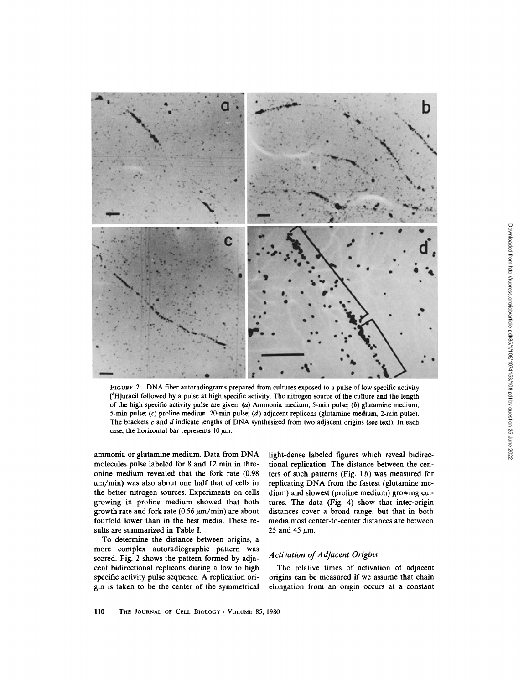

FIGURE <sup>2</sup> DNA fiber autoradiograms prepared from cultures exposed to <sup>a</sup> pulse of low specific activity [3Hluracil followed by <sup>a</sup> pulse at high specific activity . The nitrogen source of the culture and the length of the high specific activity pulse are given. (a) Ammonia medium, 5-min pulse; (b) glutamine medium, 5-min pulse; (c) proline medium, 20-min pulse; (d) adjacent replicons (glutamine medium, 2-min pulse) . The brackets  $c$  and  $d$  indicate lengths of DNA synthesized from two adjacent origins (see text). In each case, the horizontal bar represents  $10 \mu m$ .

ammonia or glutamine medium. Data from DNA molecules pulse labeled for 8 and 12 min in threonine medium revealed that the fork rate (0.98  $\mu$ m/min) was also about one half that of cells in the better nitrogen sources. Experiments on cells growing in proline medium showed that both growth rate and fork rate ( $0.56 \mu$ m/min) are about fourfold lower than in the best media. These results are summarized in Table I.

To determine the distance between origins, a more complex autoradiographic pattern was scored. Fig. 2 shows the pattern formed by adjacent bidirectional replicons during a low to high specific activity pulse sequence. A replication origin is taken to be the center of the symmetrical light-dense labeled figures which reveal bidirectional replication. The distance between the centers of such patterns (Fig.  $1 b$ ) was measured for replicating DNA from the fastest (glutamine medium) and slowest (proline medium) growing cultures. The data (Fig. 4) show that inter-origin distances cover a broad range, but that in both media most center-to-center distances are between 25 and 45  $\mu$ m.

### Activation of Adjacent Origins

The relative times of activation of adjacent origins can be measured if we assume that chain elongation from an origin occurs at a constant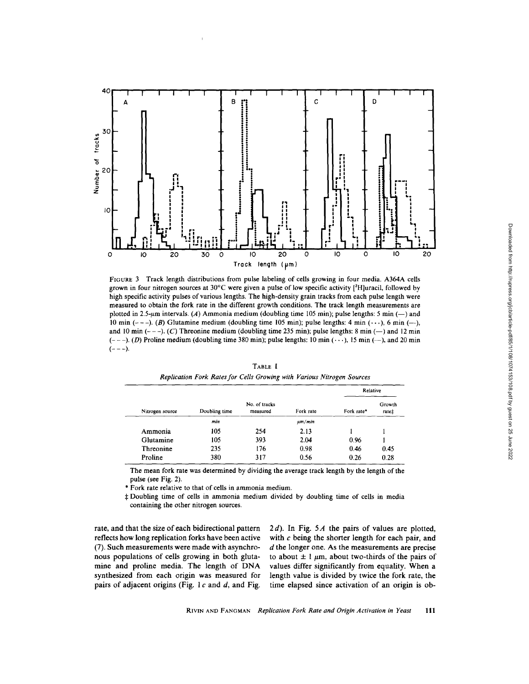

FIGURE <sup>3</sup> Track length distributions from pulse labeling of cells growing in four media. A364A cells grown in four nitrogen sources at  $30^{\circ}$ C were given a pulse of low specific activity  $[3H]$ uracil, followed by high specific activity pulses of various lengths. The high-density grain tracks from each pulse length were measured to obtain the fork rate in the different growth conditions . The track length measurements are plotted in 2.5- $\mu$ m intervals. (A) Ammonia medium (doubling time 105 min); pulse lengths: 5 min (-) and 10 min (---). (B) Glutamine medium (doubling time 105 min); pulse lengths: 4 min ( $\cdots$ ), 6 min (--), and 10 min  $(--,-)$ . (C) Threonine medium (doubling time 235 min); pulse lengths: 8 min  $(-)$  and 12 min  $(--)-$ . (D) Proline medium (doubling time 380 min); pulse lengths: 10 min  $(\cdot \cdot \cdot)$ , 15 min  $(-)$ , and 20 min  $(--)-$ .

| Nitrogen source |               |                           |             | Relative   |                 |
|-----------------|---------------|---------------------------|-------------|------------|-----------------|
|                 | Doubling time | No. of tracks<br>measured | Fork rate   | Fork rate* | Growth<br>ratet |
|                 | min           |                           | $\mu m/min$ |            |                 |
| Ammonia         | 105           | 254                       | 2.13        |            |                 |
| Glutamine       | 105           | 393                       | 2.04        | 0.96       |                 |
| Threonine       | 235           | 176                       | 0.98        | 0.46       | 0.45            |
| Proline         | 380           | 317                       | 0.56        | 0.26       | 0.28            |

TABLE <sup>I</sup> Replication Fork Rates for Cells Growing with Various Nitrogen Sources

The mean fork rate was determined by dividing the average track length by the length of the pulse (see Fig. 2).

" Fork rate relative to that of cells in ammonia medium.

\$ Doubling time of cells in ammonia medium divided by doubling time of cells in media containing the other nitrogen sources.

rate, and that the size of each bidirectional pattern reflects how long replication forks have been active (7). Such measurements were made with asynchronous populations of cells growing in both glutamine and proline media. The length of DNA synthesized from each origin was measured for pairs of adjacent origins (Fig. 1 $c$  and  $d$ , and Fig.  $2 d$ ). In Fig. 5A the pairs of values are plotted, with  $c$  being the shorter length for each pair, and  $d$  the longer one. As the measurements are precise to about  $\pm 1 \mu m$ , about two-thirds of the pairs of values differ significantly from equality. When a length value is divided by twice the fork rate, the time elapsed since activation of an origin is ob-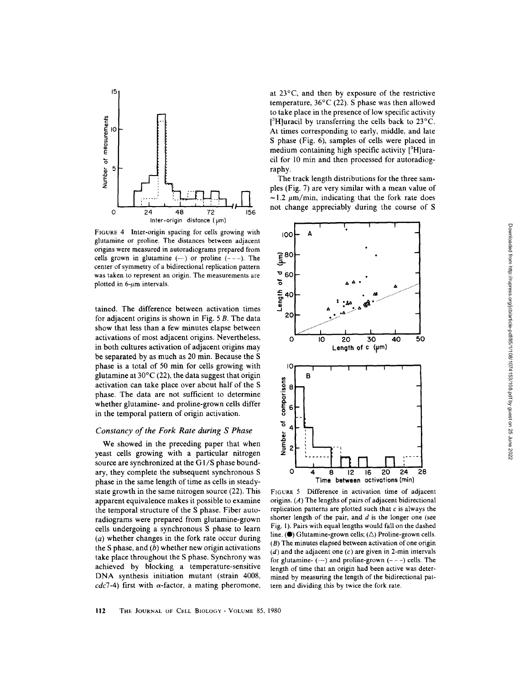

FIGURE 4 Inter-origin spacing for cells growing with glutamine or proline. The distances between adjacent origins were measured in autoradiograms prepared from cells grown in glutamine  $(-)$  or proline  $(--)$ . The center of symmetry of a bidirectional replication pattern was taken to represent an origin. The measurements are plotted in  $6-\mu m$  intervals.

tained. The difference between activation times for adjacent origins is shown in Fig.  $5B$ . The data show that less than a few minutes elapse between activations of most adjacent origins. Nevertheless, in both cultures activation of adjacent origins may be separated by as much as 20 min. Because the S phase is a total of 50 min for cells growing with glutamine at  $30^{\circ}$ C (22), the data suggest that origin activation can take place over about half of the S phase. The data are not sufficient to determine whether glutamine- and proline-grown cells differ in the temporal pattern of origin activation.

#### Constancy of the Fork Rate during S Phase

We showed in the preceding paper that when yeast cells growing with a particular nitrogen source are synchronized at the G1/S phase boundary, they complete the subsequent synchronous S phase in the same length of time as cells in steadystate growth in the same nitrogen source (22) . This apparent equivalence makes it possible to examine the temporal structure of the S phase. Fiber autoradiograms were prepared from glutamine-grown cells undergoing a synchronous S phase to learn  $(a)$  whether changes in the fork rate occur during the S phase, and  $(b)$  whether new origin activations take place throughout the S phase. Synchrony was achieved by blocking a temperature-sensitive DNA synthesis initiation mutant (strain 4008,  $cdc$ 7-4) first with  $\alpha$ -factor, a mating pheromone, at 23°C, and then by exposure of the restrictive temperature,  $36^{\circ}$ C (22). S phase was then allowed to take place in the presence of low specific activity  $[{}^3H]$ uracil by transferring the cells back to 23 $^{\circ}$ C. At times corresponding to early, middle, and late S phase (Fig. 6), samples of cells were placed in medium containing high specific activity  $[{}^3H]$ uracil for 10 min and then processed for autoradiography.

The track length distributions for the three samples (Fig. 7) are very similar with a mean value of  $\sim$ 1.2  $\mu$ m/min, indicating that the fork rate does not change appreciably during the course of S



FIGURE 5 Difference in activation time of adjacent origins. (A) The lengths of pairs of adjacent bidirectional replication patterns are plotted such that  $c$  is always the shorter length of the pair, and  $d$  is the longer one (see Fig. 1) . Pairs with equal lengths would fall on the dashed line. ( $\bullet$ ) Glutamine-grown cells; ( $\triangle$ ) Proline-grown cells.  $(B)$  The minutes elapsed between activation of one origin  $(d)$  and the adjacent one  $(c)$  are given in 2-min intervals for glutamine-  $(-)$  and proline-grown  $(--)$  cells. The length of time that an origin had been active was determined by measuring the length of the bidirectional pattern and dividing this by twice the fork rate

Downloaded from http://rupress.org/jcb/article-pdf/85/1/108/1074153/108.pdf by guest on 25 June 2022

Downloaded from http://rupress.org/jcb/article-pdf/85/1/108/1074153/108.pdf by guest on 25 June 2022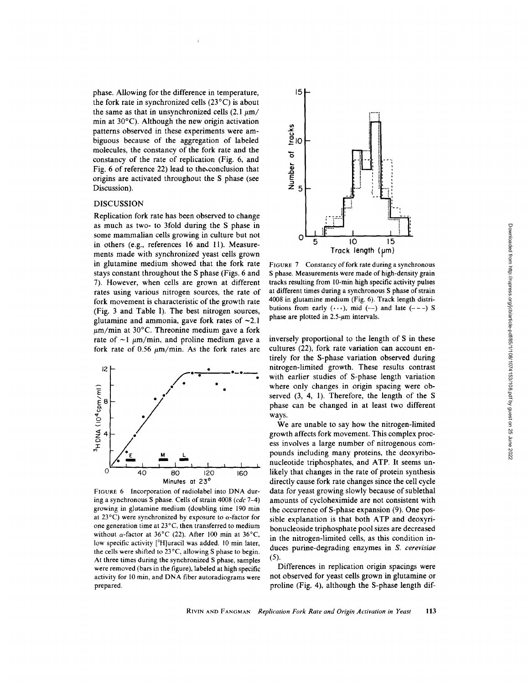FIGURE 7 Constancy of fork rate during a synchronous

phase. Allowing for the difference in temperature, the fork rate in synchronized cells  $(23^{\circ}C)$  is about the same as that in unsynchronized cells  $(2.1 \mu m)$ min at 30°C). Although the new origin activation patterns observed in these experiments were ambiguous because of the aggregation of labeled molecules, the constancy of the fork rate and the constancy of the rate of replication (Fig. 6, and Fig. 6 of reference 22) lead to the conclusion that origins are activated throughout the S phase (see Discussion).

## DISCUSSION

Replication fork rate has been observed to change as much as two- to 3fold during the S phase in some mammalian cells growing in culture but not in others (e.g., references 16 and 11). Measurements made with synchronized yeast cells grown in glutamine medium showed that the fork rate stays constant throughout the S phase (Figs. 6 and 7) . However, when cells are grown at different rates using various nitrogen sources, the rate of fork movement is characteristic of the growth rate (Fig. 3 and Table I). The best nitrogen sources, glutamine and ammonia, gave fork rates of  $\sim 2.1$  $\mu$ m/min at 30°C. Threonine medium gave a fork rate of  $\sim$ 1  $\mu$ m/min, and proline medium gave a fork rate of 0.56  $\mu$ m/min. As the fork rates are



FIGURE <sup>6</sup> Incorporation of radiolabel into DNA during a synchronous S phase. Cells of strain 4008 (cdc 7-4) growing in glutamine medium (doubling time 190 min at 23 $^{\circ}$ C) were synchronized by exposure to  $\alpha$ -factor for one generation time at 23°C, then transferred to medium without  $\alpha$ -factor at 36°C (22). After 100 min at 36°C, low specific activity  $[{}^3H]$ uracil was added. 10 min later, the cells were shifted to 23°C, allowing S phase to begin. At three times during the synchronized S phase, samples were removed (bars in the figure), labeled at high specific activity for <sup>10</sup> min, and DNA fiber autoradiograms were prepared.



10

Track length (µm)

15

 $15$ 

 $\frac{t \cdot \alpha}{\alpha}$ 

Number of

O

5

inversely proportional to the length of S in these cultures (22), fork rate variation can account entirely for the S-phase variation observed during nitrogen-limited growth. These results contrast with earlier studies of S-phase length variation where only changes in origin spacing were observed  $(3, 4, 1)$ . Therefore, the length of the S phase can be changed in at least two different ways.

We are unable to say how the nitrogen-limited growth affects fork movement. This complex process involves a large number of nitrogenous compounds including many proteins, the deoxyribonucleotide triphosphates, and ATP. It seems unlikely that changes in the rate of protein synthesis directly cause fork rate changes since the cell cycle data for yeast growing slowly because of sublethal amounts of cycloheximide are not consistent with the occurrence of S-phase expansion (9). One possible explanation is that both ATP and deoxyribonucleoside triphosphate pool sizes are decreased in the nitrogen-limited cells, as this condition induces purine-degrading enzymes in S. cerevisiae  $(5).$ 

Differences in replication origin spacings were not observed for yeast cells grown in glutamine or proline (Fig. 4), although the S-phase length dif-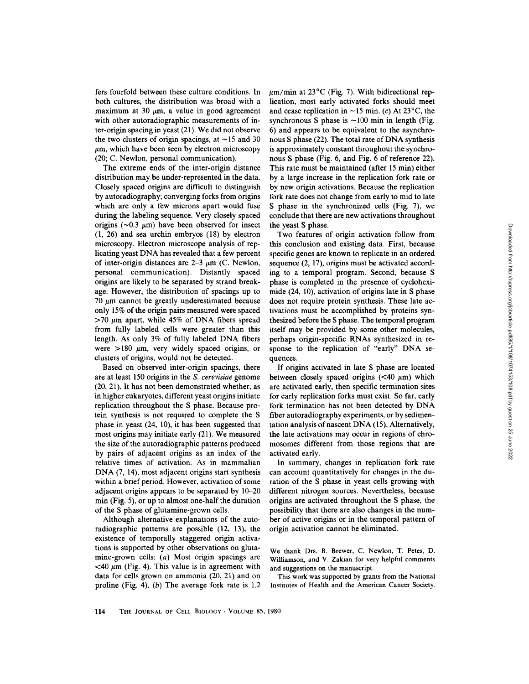fers fourfold between these culture conditions . In both cultures, the distribution was broad with a maximum at 30  $\mu$ m, a value in good agreement with other autoradiographic measurements of inter-origin spacing in yeast (21) . We did not observe the two clusters of origin spacings, at  $\sim$ 15 and 30  $\mu$ m, which have been seen by electron microscopy (20; C. Newlon, personal communication).

The extreme ends of the inter-origin distance distribution may be under-represented in the data. Closely spaced origins are difficult to distinguish by autoradiography; converging forks from origins which are only a few microns apart would fuse during the labeling sequence. Very closely spaced origins ( $\sim$ 0.3  $\mu$ m) have been observed for insect (1, 26) and sea urchin embryos (18) by electron microscopy . Electron microscope analysis of replicating yeast DNA has revealed that a few percent of inter-origin distances are  $2-3 \mu m$  (C. Newlon, personal communication). Distantly spaced origins are likely to be separated by strand breakage. However, the distribution of spacings up to 70  $\mu$ m cannot be greatly underestimated because only 15% of the origin pairs measured were spaced  $>70 \mu m$  apart, while 45% of DNA fibers spread from fully labeled cells were greater than this length. As only 3% of fully labeled DNA fibers were  $>180 \mu m$ , very widely spaced origins, or clusters of origins, would not be detected.

Based on observed inter-origin spacings, there are at least 150 origins in the S. cerevisiae genome (20, 21). It has not been demonstrated whether, as in higher eukaryotes, different yeast origins initiate replication throughout the S phase. Because protein synthesis is not required to complete the S phase in yeast (24, 10), it has been suggested that most origins may initiate early (21) . We measured the size of the autoradiographic patterns produced by pairs of adjacent origins as an index of the relative times of activation. As in mammalian DNA (7, 14), most adjacent origins start synthesis within a brief period. However, activation of some adjacent origins appears to be separated by 10-20 min (Fig. 5), or up to almost one-half the duration of the S phase of glutamine-grown cells.

Although alternative explanations of the autoradiographic patterns are possible (12, 13), the existence of temporally staggered origin activations is supported by other observations on glutamine-grown cells: (a) Most origin spacings are  $<$ 40  $\mu$ m (Fig. 4). This value is in agreement with data for cells grown on ammonia (20, 21) and on proline (Fig. 4). (b) The average fork rate is  $1.2$   $\mu$ m/min at 23°C (Fig. 7). With bidirectional replication, most early activated forks should meet and cease replication in  $\sim$ 15 min. (c) At 23°C, the synchronous S phase is  $\sim$ 100 min in length (Fig. 6) and appears to be equivalent to the asynchronous <sup>S</sup> phase (22) . The total rate of DNA synthesis is approximately constant throughout the synchronous S phase (Fig. 6, and Fig. 6 of reference 22). This rate must be maintained (after <sup>15</sup> min) either by a large increase in the replication fork rate or by new origin activations. Because the replication fork rate does not change from early to mid to late S phase in the synchronized cells (Fig. 7), we conclude that there are new activations throughout the yeast S phase

Two features of origin activation follow from this conclusion and existing data . First, because specific genes are known to replicate in an ordered sequence (2, 17), origins must be activated according to a temporal program. Second, because S phase is completed in the presence of cycloheximide (24, 10), activation of origins late in S phase does not require protein synthesis. These late activations must be accomplished by proteins synthesized before the S phase. The temporal program itself may be provided by some other molecules, perhaps origin-specific RNAs synthesized in response to the replication of "early" DNA sequences

If origins activated in late S phase are located between closely spaced origins  $( $40 \mu m$ ) which$ are activated early, then specific termination sites for early replication forks must exist. So far, early fork termination has not been detected by DNA fiber autoradiography experiments, or by sedimentation analysis of nascent DNA (15). Alternatively, the late activations may occur in regions of chromosomes different from those regions that are activated early.

In summary, changes in replication fork rate can account quantitatively for changes in the duration of the S phase in yeast cells growing with different nitrogen sources. Nevertheless, because origins are activated throughout the S phase, the possibility that there are also changes in the number of active origins or in the temporal pattern of origin activation cannot be eliminated .

We thank Drs. B. Brewer, C. Newlon, T. Petes, D. Williamson, and V. Zakian for very helpful comments and suggestions on the manuscript.

This work was supported by grants from the National Institutes of Health and the American Cancer Society.